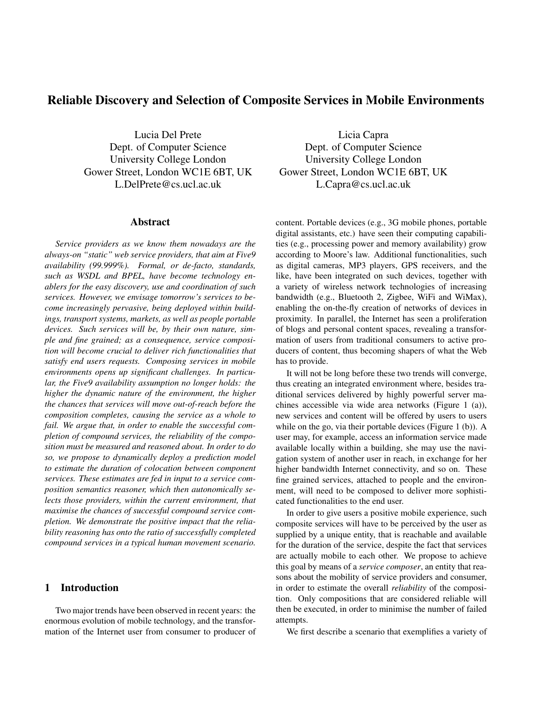# Reliable Discovery and Selection of Composite Services in Mobile Environments

Lucia Del Prete Dept. of Computer Science University College London Gower Street, London WC1E 6BT, UK L.DelPrete@cs.ucl.ac.uk

### Abstract

Service providers as we know them nowadays are the always-on "static" web service providers, that aim at Five9 availability (99.999%). Formal, or de-facto, standards, such as WSDL and BPEL, have become technology enablers for the easy discovery, use and coordination of such services. However, we envisage tomorrow's services to become increasingly pervasive, being deployed within buildings, transport systems, markets, as well as people portable devices. Such services will be, by their own nature, simple and fine grained; as a consequence, service composition will become crucial to deliver rich functionalities that satisfy end users requests. Composing services in mobile environments opens up significant challenges. In particular, the Five9 availability assumption no longer holds: the higher the dynamic nature of the environment, the higher the chances that services will move out-of-reach before the composition completes, causing the service as a whole to fail. We argue that, in order to enable the successful completion of compound services, the reliability of the composition must be measured and reasoned about. In order to do so, we propose to dynamically deploy a prediction model to estimate the duration of colocation between component services. These estimates are fed in input to a service composition semantics reasoner, which then autonomically selects those providers, within the current environment, that maximise the chances of successful compound service completion. We demonstrate the positive impact that the reliability reasoning has onto the ratio of successfully completed compound services in a typical human movement scenario.

## 1 Introduction

Two major trends have been observed in recent years: the enormous evolution of mobile technology, and the transformation of the Internet user from consumer to producer of

Licia Capra Dept. of Computer Science University College London Gower Street, London WC1E 6BT, UK L.Capra@cs.ucl.ac.uk

content. Portable devices (e.g., 3G mobile phones, portable digital assistants, etc.) have seen their computing capabilities (e.g., processing power and memory availability) grow according to Moore's law. Additional functionalities, such as digital cameras, MP3 players, GPS receivers, and the like, have been integrated on such devices, together with a variety of wireless network technologies of increasing bandwidth (e.g., Bluetooth 2, Zigbee, WiFi and WiMax), enabling the on-the-fly creation of networks of devices in proximity. In parallel, the Internet has seen a proliferation of blogs and personal content spaces, revealing a transformation of users from traditional consumers to active producers of content, thus becoming shapers of what the Web has to provide.

It will not be long before these two trends will converge, thus creating an integrated environment where, besides traditional services delivered by highly powerful server machines accessible via wide area networks (Figure 1 (a)), new services and content will be offered by users to users while on the go, via their portable devices (Figure 1 (b)). A user may, for example, access an information service made available locally within a building, she may use the navigation system of another user in reach, in exchange for her higher bandwidth Internet connectivity, and so on. These fine grained services, attached to people and the environment, will need to be composed to deliver more sophisticated functionalities to the end user.

In order to give users a positive mobile experience, such composite services will have to be perceived by the user as supplied by a unique entity, that is reachable and available for the duration of the service, despite the fact that services are actually mobile to each other. We propose to achieve this goal by means of a service composer, an entity that reasons about the mobility of service providers and consumer, in order to estimate the overall reliability of the composition. Only compositions that are considered reliable will then be executed, in order to minimise the number of failed attempts.

We first describe a scenario that exemplifies a variety of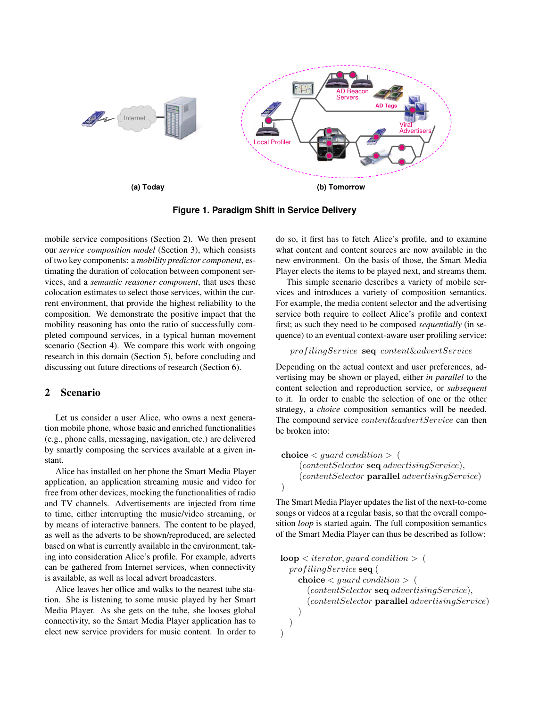

Figure 1. Paradigm Shift in Service Delivery

mobile service compositions (Section 2). We then present our service composition model (Section 3), which consists of two key components: a mobility predictor component, estimating the duration of colocation between component services, and a semantic reasoner component, that uses these colocation estimates to select those services, within the current environment, that provide the highest reliability to the composition. We demonstrate the positive impact that the mobility reasoning has onto the ratio of successfully completed compound services, in a typical human movement scenario (Section 4). We compare this work with ongoing research in this domain (Section 5), before concluding and discussing out future directions of research (Section 6).

### 2 Scenario

Let us consider a user Alice, who owns a next generation mobile phone, whose basic and enriched functionalities (e.g., phone calls, messaging, navigation, etc.) are delivered by smartly composing the services available at a given instant.

Alice has installed on her phone the Smart Media Player application, an application streaming music and video for free from other devices, mocking the functionalities of radio and TV channels. Advertisements are injected from time to time, either interrupting the music/video streaming, or by means of interactive banners. The content to be played, as well as the adverts to be shown/reproduced, are selected based on what is currently available in the environment, taking into consideration Alice's profile. For example, adverts can be gathered from Internet services, when connectivity is available, as well as local advert broadcasters.

Alice leaves her office and walks to the nearest tube station. She is listening to some music played by her Smart Media Player. As she gets on the tube, she looses global connectivity, so the Smart Media Player application has to elect new service providers for music content. In order to do so, it first has to fetch Alice's profile, and to examine what content and content sources are now available in the new environment. On the basis of those, the Smart Media Player elects the items to be played next, and streams them.

This simple scenario describes a variety of mobile services and introduces a variety of composition semantics. For example, the media content selector and the advertising service both require to collect Alice's profile and context first; as such they need to be composed sequentially (in sequence) to an eventual context-aware user profiling service:

### profilingService seq content&advertService

Depending on the actual context and user preferences, advertising may be shown or played, either in parallel to the content selection and reproduction service, or subsequent to it. In order to enable the selection of one or the other strategy, a choice composition semantics will be needed. The compound service *content&advertService* can then be broken into:

```
choice \lt guard condition \gt (
    (contentSelector seq advertisingService),
    (contentSelector parallel advertisingService)
)
```
The Smart Media Player updates the list of the next-to-come songs or videos at a regular basis, so that the overall composition *loop* is started again. The full composition semantics of the Smart Media Player can thus be described as follow:

```
\log z iterator, quard condition > 0profilingService seq (
    choice \langle guard condition \rangle (
       (contentSelector seq advertisingService),
       (contentSelector parallel advertisingService)
     )
  )
)
```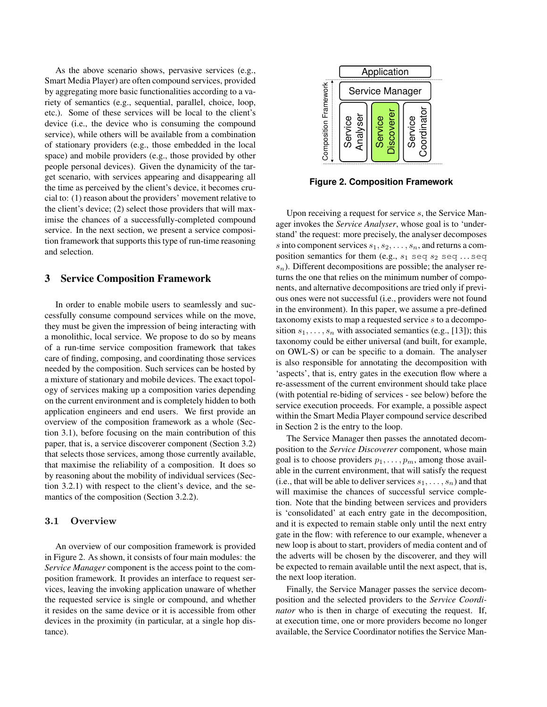As the above scenario shows, pervasive services (e.g., Smart Media Player) are often compound services, provided by aggregating more basic functionalities according to a variety of semantics (e.g., sequential, parallel, choice, loop, etc.). Some of these services will be local to the client's device (i.e., the device who is consuming the compound service), while others will be available from a combination of stationary providers (e.g., those embedded in the local space) and mobile providers (e.g., those provided by other people personal devices). Given the dynamicity of the target scenario, with services appearing and disappearing all the time as perceived by the client's device, it becomes crucial to: (1) reason about the providers' movement relative to the client's device; (2) select those providers that will maximise the chances of a successfully-completed compound service. In the next section, we present a service composition framework that supports this type of run-time reasoning and selection.

### 3 Service Composition Framework

In order to enable mobile users to seamlessly and successfully consume compound services while on the move, they must be given the impression of being interacting with a monolithic, local service. We propose to do so by means of a run-time service composition framework that takes care of finding, composing, and coordinating those services needed by the composition. Such services can be hosted by a mixture of stationary and mobile devices. The exact topology of services making up a composition varies depending on the current environment and is completely hidden to both application engineers and end users. We first provide an overview of the composition framework as a whole (Section 3.1), before focusing on the main contribution of this paper, that is, a service discoverer component (Section 3.2) that selects those services, among those currently available, that maximise the reliability of a composition. It does so by reasoning about the mobility of individual services (Section 3.2.1) with respect to the client's device, and the semantics of the composition (Section 3.2.2).

### 3.1 Overview

An overview of our composition framework is provided in Figure 2. As shown, it consists of four main modules: the Service Manager component is the access point to the composition framework. It provides an interface to request services, leaving the invoking application unaware of whether the requested service is single or compound, and whether it resides on the same device or it is accessible from other devices in the proximity (in particular, at a single hop distance).



Figure 2. Composition Framework

Upon receiving a request for service  $s$ , the Service Manager invokes the Service Analyser, whose goal is to 'understand' the request: more precisely, the analyser decomposes s into component services  $s_1, s_2, \ldots, s_n$ , and returns a composition semantics for them (e.g.,  $s_1$  seq  $s_2$  seq...seq  $s_n$ ). Different decompositions are possible; the analyser returns the one that relies on the minimum number of components, and alternative decompositions are tried only if previous ones were not successful (i.e., providers were not found in the environment). In this paper, we assume a pre-defined taxonomy exists to map a requested service s to a decomposition  $s_1, \ldots, s_n$  with associated semantics (e.g., [13]); this taxonomy could be either universal (and built, for example, on OWL-S) or can be specific to a domain. The analyser is also responsible for annotating the decomposition with 'aspects', that is, entry gates in the execution flow where a re-assessment of the current environment should take place (with potential re-biding of services - see below) before the service execution proceeds. For example, a possible aspect within the Smart Media Player compound service described in Section 2 is the entry to the loop.

The Service Manager then passes the annotated decomposition to the Service Discoverer component, whose main goal is to choose providers  $p_1, \ldots, p_m$ , among those available in the current environment, that will satisfy the request (i.e., that will be able to deliver services  $s_1, \ldots, s_n$ ) and that will maximise the chances of successful service completion. Note that the binding between services and providers is 'consolidated' at each entry gate in the decomposition, and it is expected to remain stable only until the next entry gate in the flow: with reference to our example, whenever a new loop is about to start, providers of media content and of the adverts will be chosen by the discoverer, and they will be expected to remain available until the next aspect, that is, the next loop iteration.

Finally, the Service Manager passes the service decomposition and the selected providers to the Service Coordinator who is then in charge of executing the request. If, at execution time, one or more providers become no longer available, the Service Coordinator notifies the Service Man-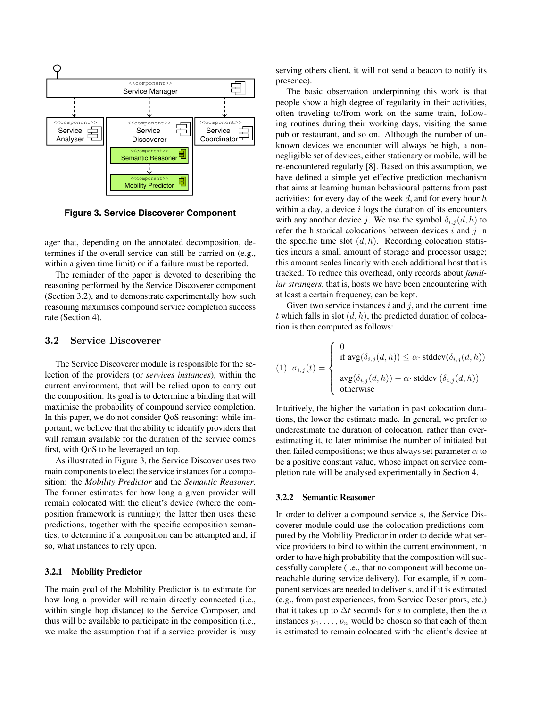

Figure 3. Service Discoverer Component

ager that, depending on the annotated decomposition, determines if the overall service can still be carried on (e.g., within a given time limit) or if a failure must be reported.

The reminder of the paper is devoted to describing the reasoning performed by the Service Discoverer component (Section 3.2), and to demonstrate experimentally how such reasoning maximises compound service completion success rate (Section 4).

### 3.2 Service Discoverer

The Service Discoverer module is responsible for the selection of the providers (or services instances), within the current environment, that will be relied upon to carry out the composition. Its goal is to determine a binding that will maximise the probability of compound service completion. In this paper, we do not consider QoS reasoning: while important, we believe that the ability to identify providers that will remain available for the duration of the service comes first, with QoS to be leveraged on top.

As illustrated in Figure 3, the Service Discover uses two main components to elect the service instances for a composition: the Mobility Predictor and the Semantic Reasoner. The former estimates for how long a given provider will remain colocated with the client's device (where the composition framework is running); the latter then uses these predictions, together with the specific composition semantics, to determine if a composition can be attempted and, if so, what instances to rely upon.

#### 3.2.1 Mobility Predictor

The main goal of the Mobility Predictor is to estimate for how long a provider will remain directly connected (i.e., within single hop distance) to the Service Composer, and thus will be available to participate in the composition (i.e., we make the assumption that if a service provider is busy

serving others client, it will not send a beacon to notify its presence).

The basic observation underpinning this work is that people show a high degree of regularity in their activities, often traveling to/from work on the same train, following routines during their working days, visiting the same pub or restaurant, and so on. Although the number of unknown devices we encounter will always be high, a nonnegligible set of devices, either stationary or mobile, will be re-encountered regularly [8]. Based on this assumption, we have defined a simple yet effective prediction mechanism that aims at learning human behavioural patterns from past activities: for every day of the week  $d$ , and for every hour  $h$ within a day, a device  $i$  logs the duration of its encounters with any another device j. We use the symbol  $\delta_{i,j}(d, h)$  to refer the historical colocations between devices  $i$  and  $j$  in the specific time slot  $(d, h)$ . Recording colocation statistics incurs a small amount of storage and processor usage; this amount scales linearly with each additional host that is tracked. To reduce this overhead, only records about familiar strangers, that is, hosts we have been encountering with at least a certain frequency, can be kept.

Given two service instances  $i$  and  $j$ , and the current time t which falls in slot  $(d, h)$ , the predicted duration of colocation is then computed as follows:

$$
(1) \quad \sigma_{i,j}(t) = \begin{cases} 0 \\ \text{if } \text{avg}(\delta_{i,j}(d,h)) \leq \alpha \cdot \text{stddev}(\delta_{i,j}(d,h)) \\ \text{avg}(\delta_{i,j}(d,h)) - \alpha \cdot \text{stddev}(\delta_{i,j}(d,h)) \\ \text{otherwise} \end{cases}
$$

Intuitively, the higher the variation in past colocation durations, the lower the estimate made. In general, we prefer to underestimate the duration of colocation, rather than overestimating it, to later minimise the number of initiated but then failed compositions; we thus always set parameter  $\alpha$  to be a positive constant value, whose impact on service completion rate will be analysed experimentally in Section 4.

### 3.2.2 Semantic Reasoner

In order to deliver a compound service  $s$ , the Service Discoverer module could use the colocation predictions computed by the Mobility Predictor in order to decide what service providers to bind to within the current environment, in order to have high probability that the composition will successfully complete (i.e., that no component will become unreachable during service delivery). For example, if  $n$  component services are needed to deliver s, and if it is estimated (e.g., from past experiences, from Service Descriptors, etc.) that it takes up to  $\Delta t$  seconds for s to complete, then the n instances  $p_1, \ldots, p_n$  would be chosen so that each of them is estimated to remain colocated with the client's device at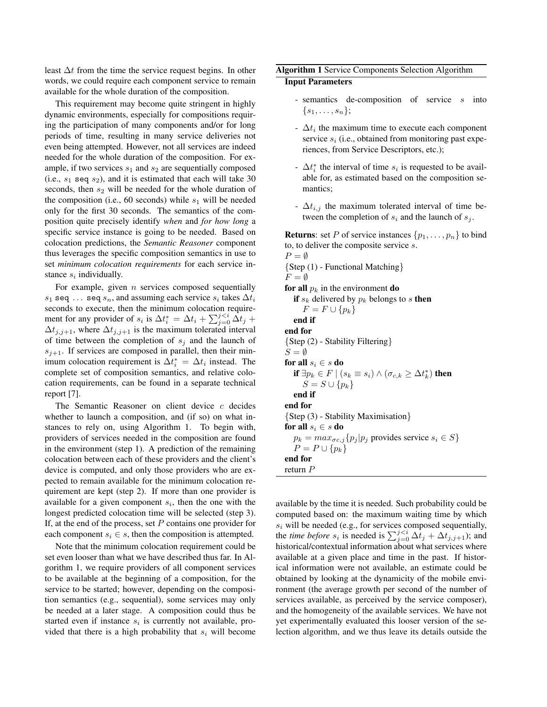least  $\Delta t$  from the time the service request begins. In other words, we could require each component service to remain available for the whole duration of the composition.

This requirement may become quite stringent in highly dynamic environments, especially for compositions requiring the participation of many components and/or for long periods of time, resulting in many service deliveries not even being attempted. However, not all services are indeed needed for the whole duration of the composition. For example, if two services  $s_1$  and  $s_2$  are sequentially composed (i.e.,  $s_1$  seq  $s_2$ ), and it is estimated that each will take 30 seconds, then  $s_2$  will be needed for the whole duration of the composition (i.e., 60 seconds) while  $s_1$  will be needed only for the first 30 seconds. The semantics of the composition quite precisely identify when and for how long a specific service instance is going to be needed. Based on colocation predictions, the Semantic Reasoner component thus leverages the specific composition semantics in use to set minimum colocation requirements for each service instance  $s_i$  individually.

For example, given  $n$  services composed sequentially  $s_1$  seq ... seq  $s_n$ , and assuming each service  $s_i$  takes  $\Delta t_i$ seconds to execute, then the minimum colocation requirement for any provider of  $s_i$  is  $\Delta t_i^* = \Delta t_i + \sum_{j=0}^{j \leq i} \hat{\Delta t}_j +$  $\Delta t_{j,j+1}$ , where  $\Delta t_{j,j+1}$  is the maximum tolerated interval of time between the completion of  $s_i$  and the launch of  $s_{i+1}$ . If services are composed in parallel, then their minimum colocation requirement is  $\Delta t_i^* = \Delta t_i$  instead. The complete set of composition semantics, and relative colocation requirements, can be found in a separate technical report [7].

The Semantic Reasoner on client device c decides whether to launch a composition, and (if so) on what instances to rely on, using Algorithm 1. To begin with, providers of services needed in the composition are found in the environment (step 1). A prediction of the remaining colocation between each of these providers and the client's device is computed, and only those providers who are expected to remain available for the minimum colocation requirement are kept (step 2). If more than one provider is available for a given component  $s_i$ , then the one with the longest predicted colocation time will be selected (step 3). If, at the end of the process, set  $P$  contains one provider for each component  $s_i \in s$ , then the composition is attempted.

Note that the minimum colocation requirement could be set even looser than what we have described thus far. In Algorithm 1, we require providers of all component services to be available at the beginning of a composition, for the service to be started; however, depending on the composition semantics (e.g., sequential), some services may only be needed at a later stage. A composition could thus be started even if instance  $s_i$  is currently not available, provided that there is a high probability that  $s_i$  will become

### Algorithm 1 Service Components Selection Algorithm

### Input Parameters

- semantics de-composition of service s into  $\{s_1, \ldots, s_n\};$
- $\Delta t_i$  the maximum time to execute each component service  $s_i$  (i.e., obtained from monitoring past experiences, from Service Descriptors, etc.);
- $\Delta t_i^*$  the interval of time  $s_i$  is requested to be available for, as estimated based on the composition semantics;
- $\Delta t_{i,j}$  the maximum tolerated interval of time between the completion of  $s_i$  and the launch of  $s_j$ .

**Returns:** set P of service instances  $\{p_1, \ldots, p_n\}$  to bind to, to deliver the composite service s.

 $P = \emptyset$ {Step (1) - Functional Matching}  $F = \emptyset$ for all  $p_k$  in the environment do if  $s_k$  delivered by  $p_k$  belongs to s then  $F = F \cup \{p_k\}$ end if end for {Step (2) - Stability Filtering}  $S = \emptyset$ for all  $s_i \in s$  do if  $\exists p_k \in F \mid (s_k \equiv s_i) \land (\sigma_{c,k} \geq \Delta t_k^*)$  $\binom{*}{k}$  then  $S = S \cup \{p_k\}$ end if end for {Step (3) - Stability Maximisation} for all  $s_i \in s$  do  $p_k = max_{\sigma c,j} {p_j | p_j}$  provides service  $s_i \in S$ }  $P = P \cup \{p_k\}$ end for return P

available by the time it is needed. Such probability could be computed based on: the maximum waiting time by which  $s_i$  will be needed (e.g., for services composed sequentially, the *time before*  $s_i$  is needed is  $\sum_{j=0}^{j; and$ historical/contextual information about what services where available at a given place and time in the past. If historical information were not available, an estimate could be obtained by looking at the dynamicity of the mobile environment (the average growth per second of the number of services available, as perceived by the service composer), and the homogeneity of the available services. We have not yet experimentally evaluated this looser version of the selection algorithm, and we thus leave its details outside the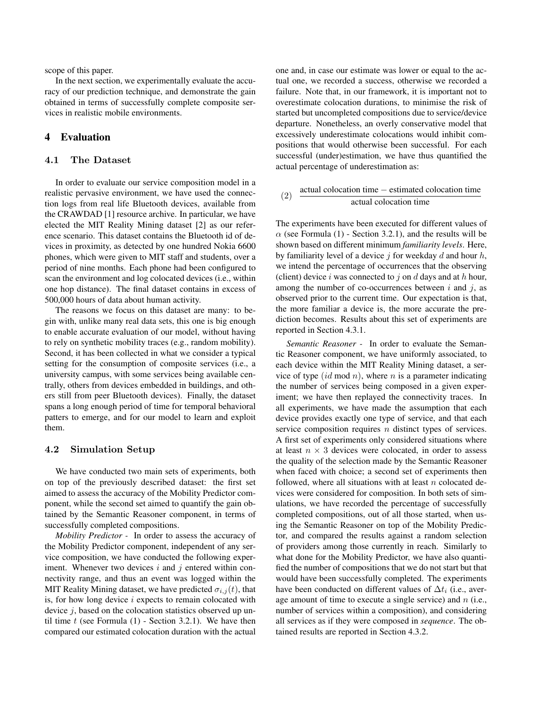scope of this paper.

In the next section, we experimentally evaluate the accuracy of our prediction technique, and demonstrate the gain obtained in terms of successfully complete composite services in realistic mobile environments.

## 4 Evaluation

### 4.1 The Dataset

In order to evaluate our service composition model in a realistic pervasive environment, we have used the connection logs from real life Bluetooth devices, available from the CRAWDAD [1] resource archive. In particular, we have elected the MIT Reality Mining dataset [2] as our reference scenario. This dataset contains the Bluetooth id of devices in proximity, as detected by one hundred Nokia 6600 phones, which were given to MIT staff and students, over a period of nine months. Each phone had been configured to scan the environment and log colocated devices (i.e., within one hop distance). The final dataset contains in excess of 500,000 hours of data about human activity.

The reasons we focus on this dataset are many: to begin with, unlike many real data sets, this one is big enough to enable accurate evaluation of our model, without having to rely on synthetic mobility traces (e.g., random mobility). Second, it has been collected in what we consider a typical setting for the consumption of composite services (i.e., a university campus, with some services being available centrally, others from devices embedded in buildings, and others still from peer Bluetooth devices). Finally, the dataset spans a long enough period of time for temporal behavioral patters to emerge, and for our model to learn and exploit them.

### 4.2 Simulation Setup

We have conducted two main sets of experiments, both on top of the previously described dataset: the first set aimed to assess the accuracy of the Mobility Predictor component, while the second set aimed to quantify the gain obtained by the Semantic Reasoner component, in terms of successfully completed compositions.

Mobility Predictor - In order to assess the accuracy of the Mobility Predictor component, independent of any service composition, we have conducted the following experiment. Whenever two devices  $i$  and  $j$  entered within connectivity range, and thus an event was logged within the MIT Reality Mining dataset, we have predicted  $\sigma_{i,j}(t)$ , that is, for how long device  $i$  expects to remain colocated with device  $i$ , based on the colocation statistics observed up until time  $t$  (see Formula  $(1)$  - Section 3.2.1). We have then compared our estimated colocation duration with the actual

one and, in case our estimate was lower or equal to the actual one, we recorded a success, otherwise we recorded a failure. Note that, in our framework, it is important not to overestimate colocation durations, to minimise the risk of started but uncompleted compositions due to service/device departure. Nonetheless, an overly conservative model that excessively underestimate colocations would inhibit compositions that would otherwise been successful. For each successful (under)estimation, we have thus quantified the actual percentage of underestimation as:

#### (2) actual colocation time − estimated colocation time actual colocation time

The experiments have been executed for different values of  $\alpha$  (see Formula (1) - Section 3.2.1), and the results will be shown based on different minimum familiarity levels. Here, by familiarity level of a device  $j$  for weekday  $d$  and hour  $h$ , we intend the percentage of occurrences that the observing (client) device i was connected to j on d days and at h hour, among the number of co-occurrences between  $i$  and  $j$ , as observed prior to the current time. Our expectation is that, the more familiar a device is, the more accurate the prediction becomes. Results about this set of experiments are reported in Section 4.3.1.

Semantic Reasoner - In order to evaluate the Semantic Reasoner component, we have uniformly associated, to each device within the MIT Reality Mining dataset, a service of type  $(id \mod n)$ , where n is a parameter indicating the number of services being composed in a given experiment; we have then replayed the connectivity traces. In all experiments, we have made the assumption that each device provides exactly one type of service, and that each service composition requires  $n$  distinct types of services. A first set of experiments only considered situations where at least  $n \times 3$  devices were colocated, in order to assess the quality of the selection made by the Semantic Reasoner when faced with choice; a second set of experiments then followed, where all situations with at least  $n$  colocated devices were considered for composition. In both sets of simulations, we have recorded the percentage of successfully completed compositions, out of all those started, when using the Semantic Reasoner on top of the Mobility Predictor, and compared the results against a random selection of providers among those currently in reach. Similarly to what done for the Mobility Predictor, we have also quantified the number of compositions that we do not start but that would have been successfully completed. The experiments have been conducted on different values of  $\Delta t_i$  (i.e., average amount of time to execute a single service) and  $n$  (i.e., number of services within a composition), and considering all services as if they were composed in sequence. The obtained results are reported in Section 4.3.2.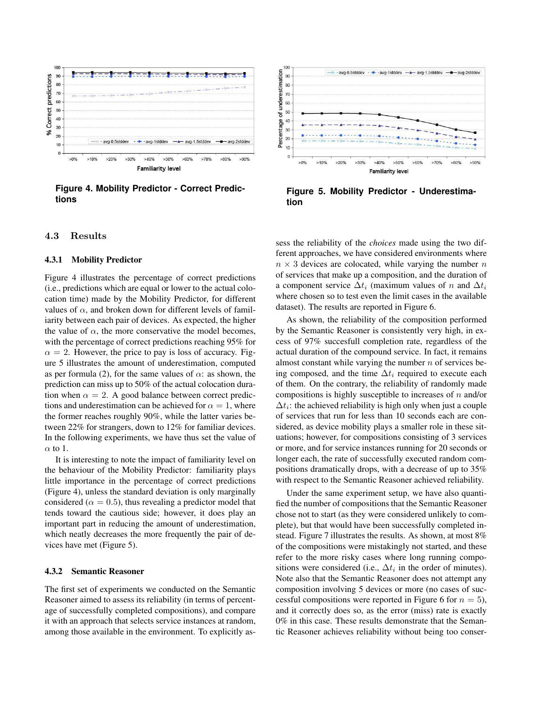

Figure 4. Mobility Predictor - Correct Predictions

### 4.3 Results

#### 4.3.1 Mobility Predictor

Figure 4 illustrates the percentage of correct predictions (i.e., predictions which are equal or lower to the actual colocation time) made by the Mobility Predictor, for different values of  $\alpha$ , and broken down for different levels of familiarity between each pair of devices. As expected, the higher the value of  $\alpha$ , the more conservative the model becomes, with the percentage of correct predictions reaching 95% for  $\alpha = 2$ . However, the price to pay is loss of accuracy. Figure 5 illustrates the amount of underestimation, computed as per formula (2), for the same values of  $\alpha$ : as shown, the prediction can miss up to 50% of the actual colocation duration when  $\alpha = 2$ . A good balance between correct predictions and underestimation can be achieved for  $\alpha = 1$ , where the former reaches roughly 90%, while the latter varies between 22% for strangers, down to 12% for familiar devices. In the following experiments, we have thus set the value of α to 1.

It is interesting to note the impact of familiarity level on the behaviour of the Mobility Predictor: familiarity plays little importance in the percentage of correct predictions (Figure 4), unless the standard deviation is only marginally considered ( $\alpha = 0.5$ ), thus revealing a predictor model that tends toward the cautious side; however, it does play an important part in reducing the amount of underestimation, which neatly decreases the more frequently the pair of devices have met (Figure 5).

### 4.3.2 Semantic Reasoner

The first set of experiments we conducted on the Semantic Reasoner aimed to assess its reliability (in terms of percentage of successfully completed compositions), and compare it with an approach that selects service instances at random, among those available in the environment. To explicitly as-



Figure 5. Mobility Predictor - Underestimation

sess the reliability of the choices made using the two different approaches, we have considered environments where  $n \times 3$  devices are colocated, while varying the number n of services that make up a composition, and the duration of a component service  $\Delta t_i$  (maximum values of n and  $\Delta t_i$ ) where chosen so to test even the limit cases in the available dataset). The results are reported in Figure 6.

As shown, the reliability of the composition performed by the Semantic Reasoner is consistently very high, in excess of 97% succesfull completion rate, regardless of the actual duration of the compound service. In fact, it remains almost constant while varying the number  $n$  of services being composed, and the time  $\Delta t_i$  required to execute each of them. On the contrary, the reliability of randomly made compositions is highly susceptible to increases of  $n$  and/or  $\Delta t_i$ : the achieved reliability is high only when just a couple of services that run for less than 10 seconds each are considered, as device mobility plays a smaller role in these situations; however, for compositions consisting of 3 services or more, and for service instances running for 20 seconds or longer each, the rate of successfully executed random compositions dramatically drops, with a decrease of up to 35% with respect to the Semantic Reasoner achieved reliability.

Under the same experiment setup, we have also quantified the number of compositions that the Semantic Reasoner chose not to start (as they were considered unlikely to complete), but that would have been successfully completed instead. Figure 7 illustrates the results. As shown, at most 8% of the compositions were mistakingly not started, and these refer to the more risky cases where long running compositions were considered (i.e.,  $\Delta t_i$  in the order of minutes). Note also that the Semantic Reasoner does not attempt any composition involving 5 devices or more (no cases of successful compositions were reported in Figure 6 for  $n = 5$ ), and it correctly does so, as the error (miss) rate is exactly 0% in this case. These results demonstrate that the Semantic Reasoner achieves reliability without being too conser-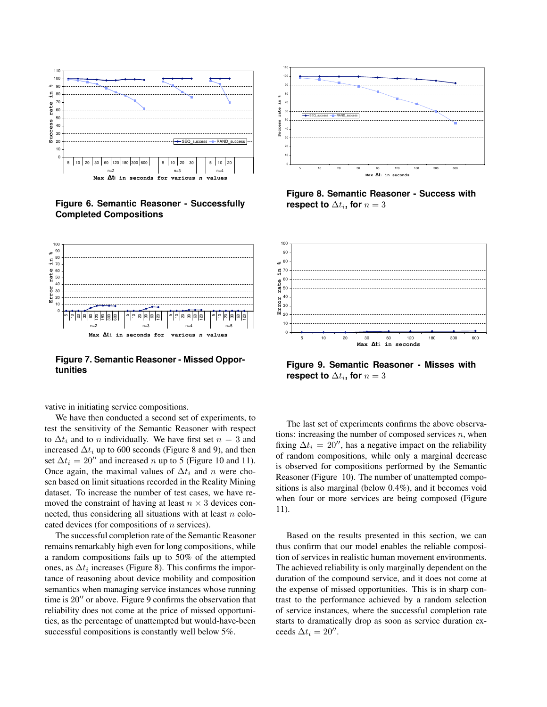

Figure 6. Semantic Reasoner - Successfully Completed Compositions



Figure 7. Semantic Reasoner - Missed Opportunities

vative in initiating service compositions.

We have then conducted a second set of experiments, to test the sensitivity of the Semantic Reasoner with respect to  $\Delta t_i$  and to n individually. We have first set  $n = 3$  and increased  $\Delta t_i$  up to 600 seconds (Figure 8 and 9), and then set  $\Delta t_i = 20''$  and increased *n* up to 5 (Figure 10 and 11). Once again, the maximal values of  $\Delta t_i$  and n were chosen based on limit situations recorded in the Reality Mining dataset. To increase the number of test cases, we have removed the constraint of having at least  $n \times 3$  devices connected, thus considering all situations with at least  $n$  colocated devices (for compositions of n services).

The successful completion rate of the Semantic Reasoner remains remarkably high even for long compositions, while a random compositions fails up to 50% of the attempted ones, as  $\Delta t_i$  increases (Figure 8). This confirms the importance of reasoning about device mobility and composition semantics when managing service instances whose running time is 20" or above. Figure 9 confirms the observation that reliability does not come at the price of missed opportunities, as the percentage of unattempted but would-have-been successful compositions is constantly well below 5%.



Figure 8. Semantic Reasoner - Success with respect to  $\Delta t_i$ , for  $n=3$ 



Figure 9. Semantic Reasoner - Misses with respect to  $\Delta t_i$ , for  $n=3$ 

The last set of experiments confirms the above observations: increasing the number of composed services  $n$ , when fixing  $\Delta t_i = 20''$ , has a negative impact on the reliability of random compositions, while only a marginal decrease is observed for compositions performed by the Semantic Reasoner (Figure 10). The number of unattempted compositions is also marginal (below 0.4%), and it becomes void when four or more services are being composed (Figure 11).

Based on the results presented in this section, we can thus confirm that our model enables the reliable composition of services in realistic human movement environments. The achieved reliability is only marginally dependent on the duration of the compound service, and it does not come at the expense of missed opportunities. This is in sharp contrast to the performance achieved by a random selection of service instances, where the successful completion rate starts to dramatically drop as soon as service duration exceeds  $\Delta t_i = 20''$ .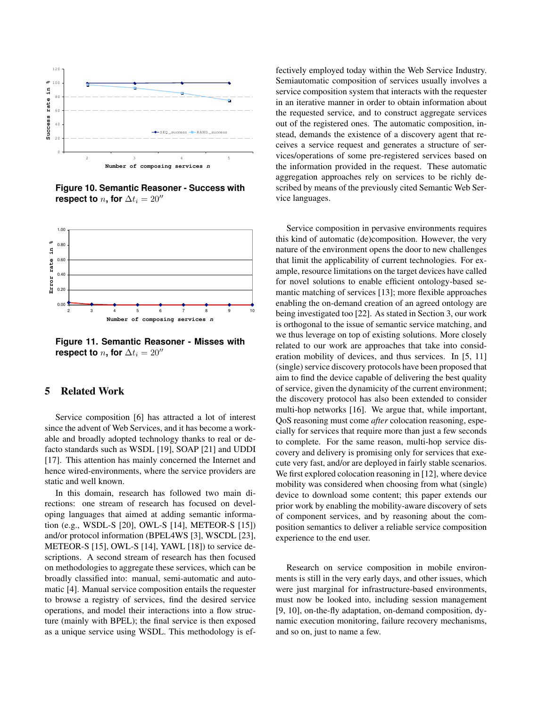

Figure 10. Semantic Reasoner - Success with respect to n, for  $\Delta t_i = 20''$ 



Figure 11. Semantic Reasoner - Misses with respect to n, for  $\Delta t_i = 20''$ 

### 5 Related Work

Service composition [6] has attracted a lot of interest since the advent of Web Services, and it has become a workable and broadly adopted technology thanks to real or defacto standards such as WSDL [19], SOAP [21] and UDDI [17]. This attention has mainly concerned the Internet and hence wired-environments, where the service providers are static and well known.

In this domain, research has followed two main directions: one stream of research has focused on developing languages that aimed at adding semantic information (e.g., WSDL-S [20], OWL-S [14], METEOR-S [15]) and/or protocol information (BPEL4WS [3], WSCDL [23], METEOR-S [15], OWL-S [14], YAWL [18]) to service descriptions. A second stream of research has then focused on methodologies to aggregate these services, which can be broadly classified into: manual, semi-automatic and automatic [4]. Manual service composition entails the requester to browse a registry of services, find the desired service operations, and model their interactions into a flow structure (mainly with BPEL); the final service is then exposed as a unique service using WSDL. This methodology is effectively employed today within the Web Service Industry. Semiautomatic composition of services usually involves a service composition system that interacts with the requester in an iterative manner in order to obtain information about the requested service, and to construct aggregate services out of the registered ones. The automatic composition, instead, demands the existence of a discovery agent that receives a service request and generates a structure of services/operations of some pre-registered services based on the information provided in the request. These automatic aggregation approaches rely on services to be richly described by means of the previously cited Semantic Web Service languages.

Service composition in pervasive environments requires this kind of automatic (de)composition. However, the very nature of the environment opens the door to new challenges that limit the applicability of current technologies. For example, resource limitations on the target devices have called for novel solutions to enable efficient ontology-based semantic matching of services [13]; more flexible approaches enabling the on-demand creation of an agreed ontology are being investigated too [22]. As stated in Section 3, our work is orthogonal to the issue of semantic service matching, and we thus leverage on top of existing solutions. More closely related to our work are approaches that take into consideration mobility of devices, and thus services. In [5, 11] (single) service discovery protocols have been proposed that aim to find the device capable of delivering the best quality of service, given the dynamicity of the current environment; the discovery protocol has also been extended to consider multi-hop networks [16]. We argue that, while important, QoS reasoning must come after colocation reasoning, especially for services that require more than just a few seconds to complete. For the same reason, multi-hop service discovery and delivery is promising only for services that execute very fast, and/or are deployed in fairly stable scenarios. We first explored colocation reasoning in [12], where device mobility was considered when choosing from what (single) device to download some content; this paper extends our prior work by enabling the mobility-aware discovery of sets of component services, and by reasoning about the composition semantics to deliver a reliable service composition experience to the end user.

Research on service composition in mobile environments is still in the very early days, and other issues, which were just marginal for infrastructure-based environments, must now be looked into, including session management [9, 10], on-the-fly adaptation, on-demand composition, dynamic execution monitoring, failure recovery mechanisms, and so on, just to name a few.